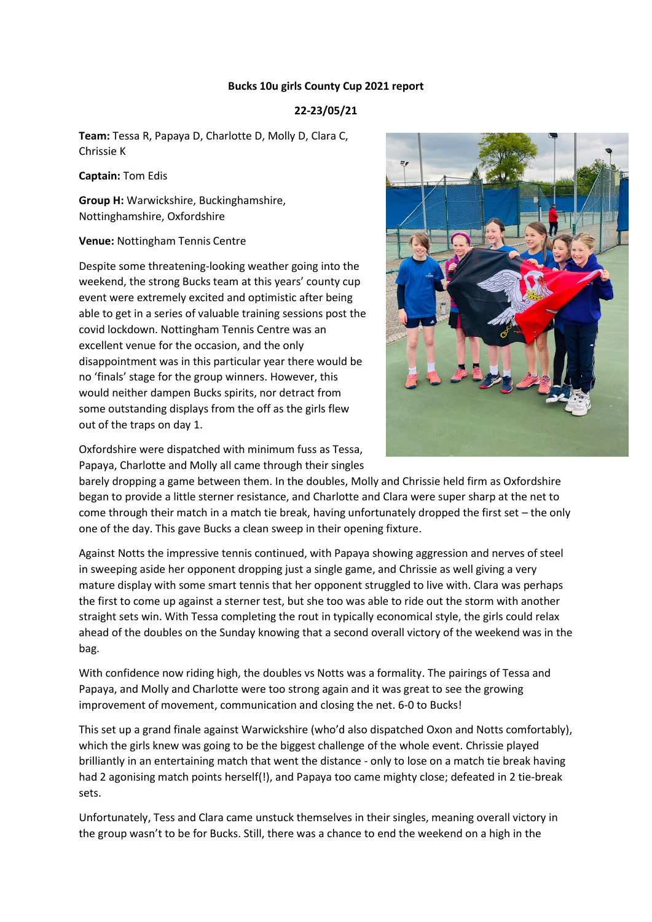## **Bucks 10u girls County Cup 2021 report**

## **22-23/05/21**

**Team:** Tessa R, Papaya D, Charlotte D, Molly D, Clara C, Chrissie K

**Captain:** Tom Edis

**Group H:** Warwickshire, Buckinghamshire, Nottinghamshire, Oxfordshire

**Venue:** Nottingham Tennis Centre

Despite some threatening-looking weather going into the weekend, the strong Bucks team at this years' county cup event were extremely excited and optimistic after being able to get in a series of valuable training sessions post the covid lockdown. Nottingham Tennis Centre was an excellent venue for the occasion, and the only disappointment was in this particular year there would be no 'finals' stage for the group winners. However, this would neither dampen Bucks spirits, nor detract from some outstanding displays from the off as the girls flew out of the traps on day 1.



Oxfordshire were dispatched with minimum fuss as Tessa, Papaya, Charlotte and Molly all came through their singles

barely dropping a game between them. In the doubles, Molly and Chrissie held firm as Oxfordshire began to provide a little sterner resistance, and Charlotte and Clara were super sharp at the net to come through their match in a match tie break, having unfortunately dropped the first set – the only one of the day. This gave Bucks a clean sweep in their opening fixture.

Against Notts the impressive tennis continued, with Papaya showing aggression and nerves of steel in sweeping aside her opponent dropping just a single game, and Chrissie as well giving a very mature display with some smart tennis that her opponent struggled to live with. Clara was perhaps the first to come up against a sterner test, but she too was able to ride out the storm with another straight sets win. With Tessa completing the rout in typically economical style, the girls could relax ahead of the doubles on the Sunday knowing that a second overall victory of the weekend was in the bag.

With confidence now riding high, the doubles vs Notts was a formality. The pairings of Tessa and Papaya, and Molly and Charlotte were too strong again and it was great to see the growing improvement of movement, communication and closing the net. 6-0 to Bucks!

This set up a grand finale against Warwickshire (who'd also dispatched Oxon and Notts comfortably), which the girls knew was going to be the biggest challenge of the whole event. Chrissie played brilliantly in an entertaining match that went the distance - only to lose on a match tie break having had 2 agonising match points herself(!), and Papaya too came mighty close; defeated in 2 tie-break sets.

Unfortunately, Tess and Clara came unstuck themselves in their singles, meaning overall victory in the group wasn't to be for Bucks. Still, there was a chance to end the weekend on a high in the